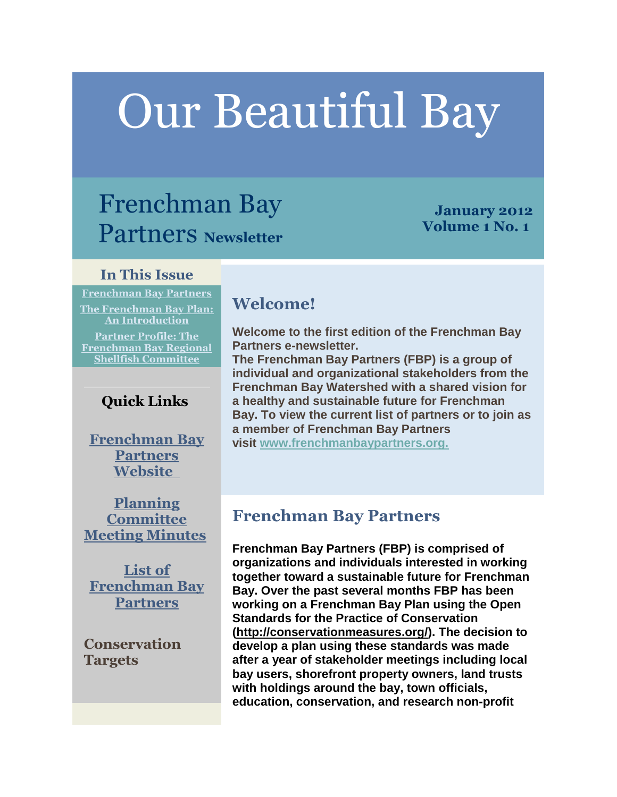# Our Beautiful Bay

# Frenchman Bay Partners **Newsletter**

# **January 2012 Volume 1 No. 1**

# **In This Issue**

**[Frenchman Bay Partners](http://campaign.r20.constantcontact.com/render?llr=sk76p6iab&v=001QGVxMVttOOZOTVyC3CzbRcrt91BXw1Dl_6KJj8PubFPEYN9s4U3ATh_x9iffyj076bgEnIkCSQBHdUiUfti8vP5L_U7z_1Mo5_zHNgSLr-mnklnVmAcySsRzgK_1GQh6TZCRmPPxMmbugbZvpunAh01aPzaarNLIbPZZKggovdYGYrPPsYJT10QQnfh1PyMhvOAWSh-KT6MU7ZuK4HMmnjYXRDKtMnAXzKooMe_Sh1XBemwJU8V7Oss2p4ypv5CErXtD7XR-Z9mQBUa5ZrZlUvzaHTGw0_lKLYat0eQWWoVX1z4aQeqx0qcu2mWaGAkz27mk80dIIoYqaCO6yMOspi44htuG53UjfKrQms43N38pNgGIAau9jukiDtLO8qQthgXM_-cSRHHgtdHwE8-d5Cb3gcEUsMSych2-rXzE27Ru2E541TIfRg%3D%3D&id=preview#LETTER.BLOCK6) [The Frenchman Bay Plan:](http://campaign.r20.constantcontact.com/render?llr=sk76p6iab&v=001QGVxMVttOOZOTVyC3CzbRcrt91BXw1Dl_6KJj8PubFPEYN9s4U3ATh_x9iffyj076bgEnIkCSQBHdUiUfti8vP5L_U7z_1Mo5_zHNgSLr-mnklnVmAcySsRzgK_1GQh6TZCRmPPxMmbugbZvpunAh01aPzaarNLIbPZZKggovdYGYrPPsYJT10QQnfh1PyMhvOAWSh-KT6MU7ZuK4HMmnjYXRDKtMnAXzKooMe_Sh1XBemwJU8V7Oss2p4ypv5CErXtD7XR-Z9mQBUa5ZrZlUvzaHTGw0_lKLYat0eQWWoVX1z4aQeqx0qcu2mWaGAkz27mk80dIIoYqaCO6yMOspi44htuG53UjfKrQms43N38pNgGIAau9jukiDtLO8qQthgXM_-cSRHHgtdHwE8-d5Cb3gcEUsMSych2-rXzE27Ru2E541TIfRg%3D%3D&id=preview#LETTER.BLOCK7)  [An Introduction](http://campaign.r20.constantcontact.com/render?llr=sk76p6iab&v=001QGVxMVttOOZOTVyC3CzbRcrt91BXw1Dl_6KJj8PubFPEYN9s4U3ATh_x9iffyj076bgEnIkCSQBHdUiUfti8vP5L_U7z_1Mo5_zHNgSLr-mnklnVmAcySsRzgK_1GQh6TZCRmPPxMmbugbZvpunAh01aPzaarNLIbPZZKggovdYGYrPPsYJT10QQnfh1PyMhvOAWSh-KT6MU7ZuK4HMmnjYXRDKtMnAXzKooMe_Sh1XBemwJU8V7Oss2p4ypv5CErXtD7XR-Z9mQBUa5ZrZlUvzaHTGw0_lKLYat0eQWWoVX1z4aQeqx0qcu2mWaGAkz27mk80dIIoYqaCO6yMOspi44htuG53UjfKrQms43N38pNgGIAau9jukiDtLO8qQthgXM_-cSRHHgtdHwE8-d5Cb3gcEUsMSych2-rXzE27Ru2E541TIfRg%3D%3D&id=preview#LETTER.BLOCK7) [Partner Profile: The](http://campaign.r20.constantcontact.com/render?llr=sk76p6iab&v=001QGVxMVttOOZOTVyC3CzbRcrt91BXw1Dl_6KJj8PubFPEYN9s4U3ATh_x9iffyj076bgEnIkCSQBHdUiUfti8vP5L_U7z_1Mo5_zHNgSLr-mnklnVmAcySsRzgK_1GQh6TZCRmPPxMmbugbZvpunAh01aPzaarNLIbPZZKggovdYGYrPPsYJT10QQnfh1PyMhvOAWSh-KT6MU7ZuK4HMmnjYXRDKtMnAXzKooMe_Sh1XBemwJU8V7Oss2p4ypv5CErXtD7XR-Z9mQBUa5ZrZlUvzaHTGw0_lKLYat0eQWWoVX1z4aQeqx0qcu2mWaGAkz27mk80dIIoYqaCO6yMOspi44htuG53UjfKrQms43N38pNgGIAau9jukiDtLO8qQthgXM_-cSRHHgtdHwE8-d5Cb3gcEUsMSych2-rXzE27Ru2E541TIfRg%3D%3D&id=preview#LETTER.BLOCK15)  [Frenchman Bay Regional](http://campaign.r20.constantcontact.com/render?llr=sk76p6iab&v=001QGVxMVttOOZOTVyC3CzbRcrt91BXw1Dl_6KJj8PubFPEYN9s4U3ATh_x9iffyj076bgEnIkCSQBHdUiUfti8vP5L_U7z_1Mo5_zHNgSLr-mnklnVmAcySsRzgK_1GQh6TZCRmPPxMmbugbZvpunAh01aPzaarNLIbPZZKggovdYGYrPPsYJT10QQnfh1PyMhvOAWSh-KT6MU7ZuK4HMmnjYXRDKtMnAXzKooMe_Sh1XBemwJU8V7Oss2p4ypv5CErXtD7XR-Z9mQBUa5ZrZlUvzaHTGw0_lKLYat0eQWWoVX1z4aQeqx0qcu2mWaGAkz27mk80dIIoYqaCO6yMOspi44htuG53UjfKrQms43N38pNgGIAau9jukiDtLO8qQthgXM_-cSRHHgtdHwE8-d5Cb3gcEUsMSych2-rXzE27Ru2E541TIfRg%3D%3D&id=preview#LETTER.BLOCK15)  [Shellfish Committee](http://campaign.r20.constantcontact.com/render?llr=sk76p6iab&v=001QGVxMVttOOZOTVyC3CzbRcrt91BXw1Dl_6KJj8PubFPEYN9s4U3ATh_x9iffyj076bgEnIkCSQBHdUiUfti8vP5L_U7z_1Mo5_zHNgSLr-mnklnVmAcySsRzgK_1GQh6TZCRmPPxMmbugbZvpunAh01aPzaarNLIbPZZKggovdYGYrPPsYJT10QQnfh1PyMhvOAWSh-KT6MU7ZuK4HMmnjYXRDKtMnAXzKooMe_Sh1XBemwJU8V7Oss2p4ypv5CErXtD7XR-Z9mQBUa5ZrZlUvzaHTGw0_lKLYat0eQWWoVX1z4aQeqx0qcu2mWaGAkz27mk80dIIoYqaCO6yMOspi44htuG53UjfKrQms43N38pNgGIAau9jukiDtLO8qQthgXM_-cSRHHgtdHwE8-d5Cb3gcEUsMSych2-rXzE27Ru2E541TIfRg%3D%3D&id=preview#LETTER.BLOCK15)**

# **Quick Links**

**[Frenchman Bay](http://www.frenchmanbaypartners.org/)  [Partners](http://www.frenchmanbaypartners.org/)  [Website](http://www.frenchmanbaypartners.org/)**

**[Planning](http://r20.rs6.net/tn.jsp?e=0017e7ZktZ2nu2y0c1Q7FRw8Y49L6SHAyfmV_-0gcXEhRbHHw5B8KF8WUMPuhKqm2T9mklEPLS5EIJoIxYxzjL_1IEagSxcnxkl-QlAUe8IGJW3pxfTriA8sxb6W0w64CFy2jkz0KTqLhNqIL_5ZtoWptmTgDU57yPjGXLI0UDY660=)  [Committee](http://r20.rs6.net/tn.jsp?e=0017e7ZktZ2nu2y0c1Q7FRw8Y49L6SHAyfmV_-0gcXEhRbHHw5B8KF8WUMPuhKqm2T9mklEPLS5EIJoIxYxzjL_1IEagSxcnxkl-QlAUe8IGJW3pxfTriA8sxb6W0w64CFy2jkz0KTqLhNqIL_5ZtoWptmTgDU57yPjGXLI0UDY660=)  [Meeting Minutes](http://r20.rs6.net/tn.jsp?e=0017e7ZktZ2nu2y0c1Q7FRw8Y49L6SHAyfmV_-0gcXEhRbHHw5B8KF8WUMPuhKqm2T9mklEPLS5EIJoIxYxzjL_1IEagSxcnxkl-QlAUe8IGJW3pxfTriA8sxb6W0w64CFy2jkz0KTqLhNqIL_5ZtoWptmTgDU57yPjGXLI0UDY660=)**

**[List of](http://r20.rs6.net/tn.jsp?e=0017e7ZktZ2nu1kKqw4IIcerjY2NvKOqE3Gemlplwjdy0szBS5qaO0ZZnPqVcm5EZz04mY50KwtH8szpqUBt3AJ_7PWdfskc-9Htrur4qJtN226_3BLqLJp1vkanzcgDkjlNTADVb-7j2WSV12GndR0cGpeFSxqNjWo)  [Frenchman Bay](http://r20.rs6.net/tn.jsp?e=0017e7ZktZ2nu1kKqw4IIcerjY2NvKOqE3Gemlplwjdy0szBS5qaO0ZZnPqVcm5EZz04mY50KwtH8szpqUBt3AJ_7PWdfskc-9Htrur4qJtN226_3BLqLJp1vkanzcgDkjlNTADVb-7j2WSV12GndR0cGpeFSxqNjWo)  [Partners](http://r20.rs6.net/tn.jsp?e=0017e7ZktZ2nu1kKqw4IIcerjY2NvKOqE3Gemlplwjdy0szBS5qaO0ZZnPqVcm5EZz04mY50KwtH8szpqUBt3AJ_7PWdfskc-9Htrur4qJtN226_3BLqLJp1vkanzcgDkjlNTADVb-7j2WSV12GndR0cGpeFSxqNjWo)**

**Conservation Targets**

# **Welcome!**

**Welcome to the first edition of the Frenchman Bay Partners e-newsletter.**

**The Frenchman Bay Partners (FBP) is a group of individual and organizational stakeholders from the Frenchman Bay Watershed with a shared vision for a healthy and sustainable future for Frenchman Bay. To view the current list of partners or to join as a member of Frenchman Bay Partners** 

**visit [www.frenchmanbaypartners.org.](http://r20.rs6.net/tn.jsp?e=0017e7ZktZ2nu2B_Z5-K9GM04HpvkHJ_gpXU5rpRtCDlK7yqsA0n9xf6IOuKx1QiwpkJfQSAC1m89WuXVpL4qfStzdMq-ednOrDmgPz7MqnLaKHABJ8UKeVaLH3CQu5N1yX)**

# **Frenchman Bay Partners**

**Frenchman Bay Partners (FBP) is comprised of organizations and individuals interested in working together toward a sustainable future for Frenchman Bay. Over the past several months FBP has been working on a Frenchman Bay Plan using the Open Standards for the Practice of Conservation [\(http://conservationmeasures.org/\)](http://r20.rs6.net/tn.jsp?e=0017e7ZktZ2nu2Ry39KNp3JIQHeV8_S4VOQeObK4T8RA5_BIDGUasVc0o7Zg6_Xets5zV7GVagosAaT15RvC7mtSSZ5mf8p47nvL9PB5RSqpbsyM4O-gsZQFWFAhuPfQ-VJ). The decision to develop a plan using these standards was made after a year of stakeholder meetings including local bay users, shorefront property owners, land trusts with holdings around the bay, town officials, education, conservation, and research non-profit**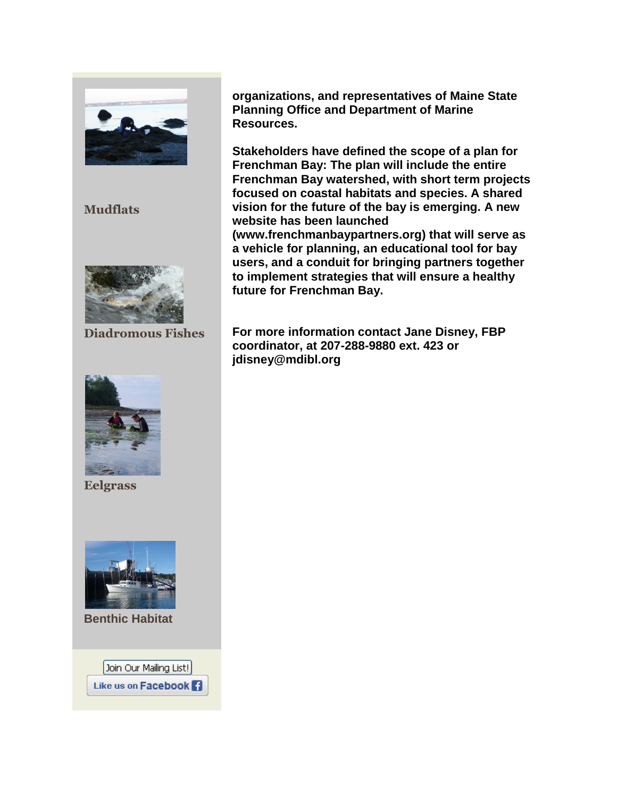

**Mudflats**



**Diadromous Fishes**



**Eelgrass**



**Benthic Habitat**

Join Our Mailing List! Like us on Facebook F **organizations, and representatives of Maine State Planning Office and Department of Marine Resources.**

**Stakeholders have defined the scope of a plan for Frenchman Bay: The plan will include the entire Frenchman Bay watershed, with short term projects focused on coastal habitats and species. A shared vision for the future of the bay is emerging. A new website has been launched (www.frenchmanbaypartners.org) that will serve as a vehicle for planning, an educational tool for bay users, and a conduit for bringing partners together to implement strategies that will ensure a healthy future for Frenchman Bay.**

**For more information contact Jane Disney, FBP coordinator, at 207-288-9880 ext. 423 or jdisney@mdibl.org**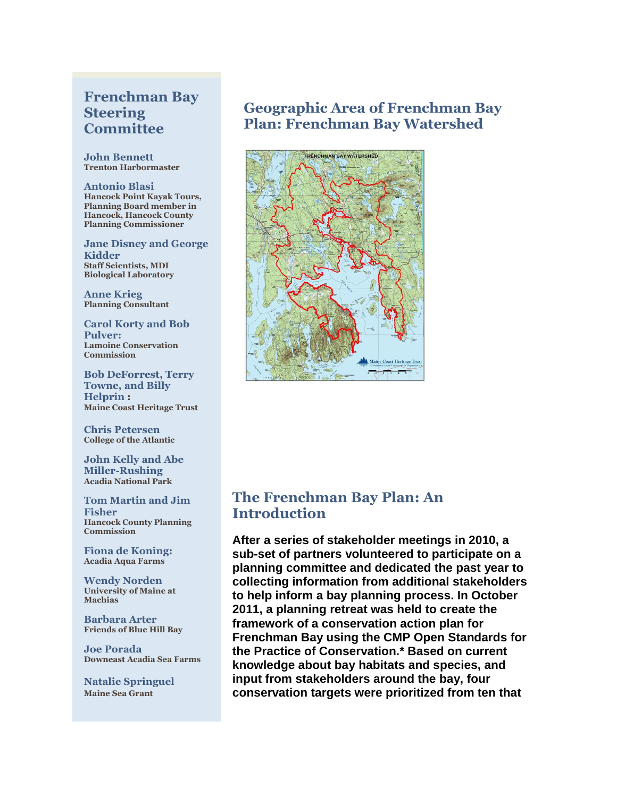### **Frenchman Bay Steering Committee**

**John Bennett Trenton Harbormaster**

**Antonio Blasi Hancock Point Kayak Tours, Planning Board member in Hancock, Hancock County Planning Commissioner**

**Jane Disney and George Kidder Staff Scientists, MDI Biological Laboratory**

**Anne Krieg Planning Consultant**

**Carol Korty and Bob Pulver: Lamoine Conservation Commission**

**Bob DeForrest, Terry Towne, and Billy Helprin : Maine Coast Heritage Trust**

**Chris Petersen College of the Atlantic**

**John Kelly and Abe Miller-Rushing Acadia National Park**

**Tom Martin and Jim Fisher Hancock County Planning Commission**

**Fiona de Koning: Acadia Aqua Farms**

**Wendy Norden University of Maine at Machias**

**Barbara Arter Friends of Blue Hill Bay**

**Joe Porada Downeast Acadia Sea Farms**

**Natalie Springuel Maine Sea Grant**

### **Geographic Area of Frenchman Bay Plan: Frenchman Bay Watershed**



# **The Frenchman Bay Plan: An Introduction**

**After a series of stakeholder meetings in 2010, a sub-set of partners volunteered to participate on a planning committee and dedicated the past year to collecting information from additional stakeholders to help inform a bay planning process. In October 2011, a planning retreat was held to create the framework of a conservation action plan for Frenchman Bay using the CMP Open Standards for the Practice of Conservation.\* Based on current knowledge about bay habitats and species, and input from stakeholders around the bay, four conservation targets were prioritized from ten that**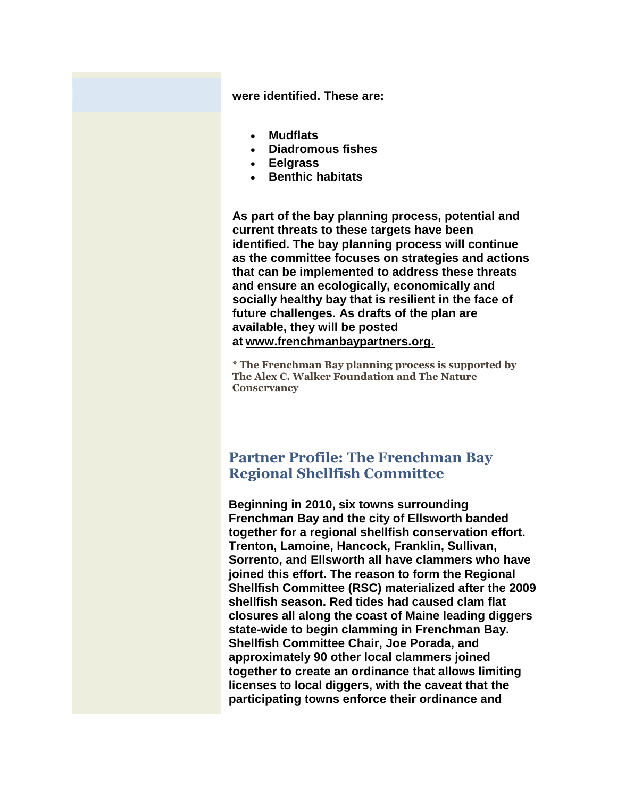**were identified. These are:**

- **Mudflats**
- **Diadromous fishes**
- **Eelgrass**
- **Benthic habitats**

**As part of the bay planning process, potential and current threats to these targets have been identified. The bay planning process will continue as the committee focuses on strategies and actions that can be implemented to address these threats and ensure an ecologically, economically and socially healthy bay that is resilient in the face of future challenges. As drafts of the plan are available, they will be posted at [www.frenchmanbaypartners.org.](http://r20.rs6.net/tn.jsp?e=0017e7ZktZ2nu1UrnoUj_qtJFhilw_5CKhJp0P13DpH7CzBFiMGO1u3j9nDiNgn9GGPAT8PD7Zg7dTBXkhmY2-3DHwgQSsJhEnN6sLtdaTHdibD7EHb_pZ0N_0JhDsazDfo)**

**\* The Frenchman Bay planning process is supported by The Alex C. Walker Foundation and The Nature Conservancy**

#### **Partner Profile: The Frenchman Bay Regional Shellfish Committee**

**Beginning in 2010, six towns surrounding Frenchman Bay and the city of Ellsworth banded together for a regional shellfish conservation effort. Trenton, Lamoine, Hancock, Franklin, Sullivan, Sorrento, and Ellsworth all have clammers who have joined this effort. The reason to form the Regional Shellfish Committee (RSC) materialized after the 2009 shellfish season. Red tides had caused clam flat closures all along the coast of Maine leading diggers state-wide to begin clamming in Frenchman Bay. Shellfish Committee Chair, Joe Porada, and approximately 90 other local clammers joined together to create an ordinance that allows limiting licenses to local diggers, with the caveat that the participating towns enforce their ordinance and**